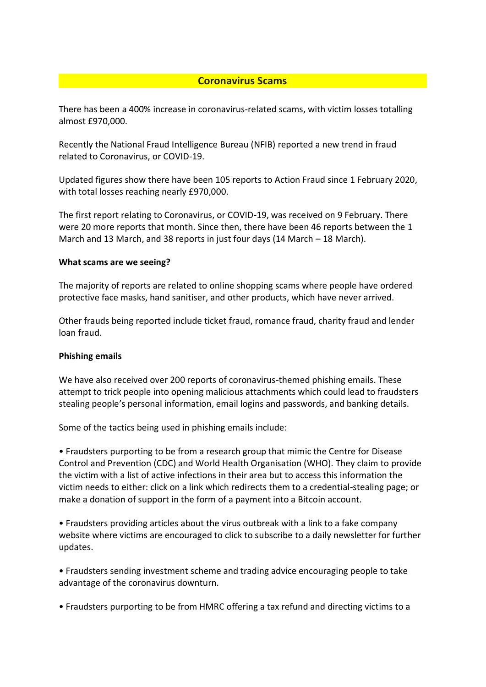# **Coronavirus Scams**

There has been a 400% increase in coronavirus-related scams, with victim losses totalling almost £970,000.

Recently the National Fraud Intelligence Bureau (NFIB) [reported](http://track.vuelio.uk.com/z.z?l=aHR0cHM6Ly93d3cuYWN0aW9uZnJhdWQucG9saWNlLnVrL2FsZXJ0L2Nvcm9uYXZpcnVzLXNjYW0tY29zdHMtdmljdGltcy1vdmVyLTgwMGstaW4tb25lLW1vbnRo&r=12749737515&d=11092121&p=1&t=h&h=48c0c3242ad6250d4f82c86bf64b4dbd) a new trend in fraud related to Coronavirus, or COVID-19.

Updated figures show there have been 105 reports to [Action Fraud](http://track.vuelio.uk.com/z.z?l=aHR0cHM6Ly93d3cuYWN0aW9uZnJhdWQucG9saWNlLnVrLw%3d%3d&r=12749737515&d=11092121&p=1&t=h&h=e655bedb48366d1aa229bb2c0b84929f) since 1 February 2020, with total losses reaching nearly £970,000.

The first report relating to Coronavirus, or COVID-19, was received on 9 February. There were 20 more reports that month. Since then, there have been 46 reports between the 1 March and 13 March, and 38 reports in just four days (14 March – 18 March).

### **What scams are we seeing?**

The majority of reports are related to [online shopping](http://track.vuelio.uk.com/z.z?l=aHR0cHM6Ly93d3cuYWN0aW9uZnJhdWQucG9saWNlLnVrL2Etei1vZi1mcmF1ZC9vbmxpbmUtc2hvcHBpbmctZnJhdWQ%3d&r=12749737515&d=11092121&p=1&t=h&h=ab0ac5e21b0b44f2df51946a5d7179c9) scams where people have ordered protective face masks, hand sanitiser, and other products, which have never arrived.

Other frauds being reported include [ticket fraud,](http://track.vuelio.uk.com/z.z?l=aHR0cHM6Ly93d3cuYWN0aW9uZnJhdWQucG9saWNlLnVrL2Etei1vZi1mcmF1ZC90aWNrZXQtZnJhdWQ%3d&r=12749737515&d=11092121&p=1&t=h&h=80cea3426fa798485a6deb8c21c35fb1) [romance fraud,](http://track.vuelio.uk.com/z.z?l=aHR0cHM6Ly93d3cuYWN0aW9uZnJhdWQucG9saWNlLnVrL2Etei1vZi1mcmF1ZC9kYXRpbmctZnJhdWQ%3d&r=12749737515&d=11092121&p=1&t=h&h=0b0826b939227705a5d68661822f60f1) [charity fraud](http://track.vuelio.uk.com/z.z?l=aHR0cHM6Ly93d3cuYWN0aW9uZnJhdWQucG9saWNlLnVrL2NoYXJpdGllcw%3d%3d&r=12749737515&d=11092121&p=1&t=h&h=b22c4621caad8529ef69f181a5e414bc) and [lender](http://track.vuelio.uk.com/z.z?l=aHR0cHM6Ly93d3cuYWN0aW9uZnJhdWQucG9saWNlLnVrL2Etei1vZi1mcmF1ZC9sb2FuLXNjYW1z&r=12749737515&d=11092121&p=1&t=h&h=72b92289cd018c9306b4c4df9f13d12b)  [loan fraud.](http://track.vuelio.uk.com/z.z?l=aHR0cHM6Ly93d3cuYWN0aW9uZnJhdWQucG9saWNlLnVrL2Etei1vZi1mcmF1ZC9sb2FuLXNjYW1z&r=12749737515&d=11092121&p=1&t=h&h=72b92289cd018c9306b4c4df9f13d12b)

### **Phishing emails**

We have also received over 200 reports of coronavirus-themed phishing emails. These attempt to trick people into opening malicious attachments which could lead to fraudsters stealing people's personal information, email logins and passwords, and banking details.

Some of the tactics being used in phishing emails include:

• Fraudsters purporting to be from a research group that mimic the Centre for Disease Control and Prevention (CDC) and World Health Organisation (WHO). They claim to provide the victim with a list of active infections in their area but to access this information the victim needs to either: click on a link which redirects them to a credential-stealing page; or make a donation of support in the form of a payment into a Bitcoin account.

• Fraudsters providing articles about the virus outbreak with a link to a fake company website where victims are encouraged to click to subscribe to a daily newsletter for further updates.

• Fraudsters sending investment scheme and trading advice encouraging people to take advantage of the coronavirus downturn.

• Fraudsters purporting to be from HMRC offering a tax refund and directing victims to a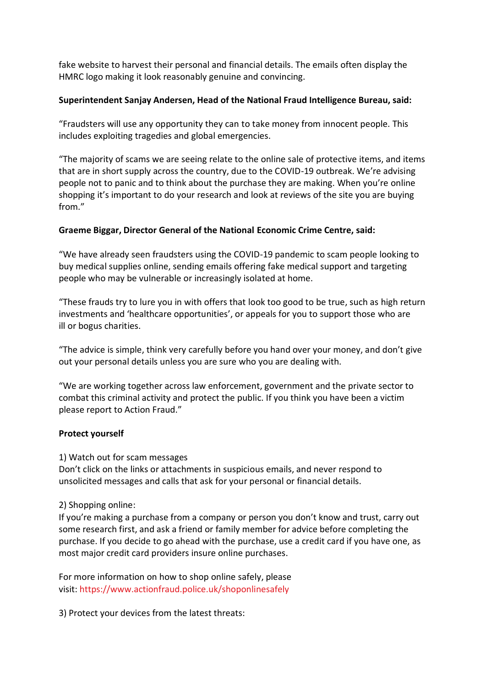fake website to harvest their personal and financial details. The emails often display the HMRC logo making it look reasonably genuine and convincing.

# **Superintendent Sanjay Andersen, Head of the National Fraud Intelligence Bureau, said:**

"Fraudsters will use any opportunity they can to take money from innocent people. This includes exploiting tragedies and global emergencies.

"The majority of scams we are seeing relate to the online sale of protective items, and items that are in short supply across the country, due to the COVID-19 outbreak. We're advising people not to panic and to think about the purchase they are making. When you're online shopping it's important to do your research and look at reviews of the site you are buying from."

### **Graeme Biggar, Director General of the National Economic Crime Centre, said:**

"We have already seen fraudsters using the COVID-19 pandemic to scam people looking to buy medical supplies online, sending emails offering fake medical support and targeting people who may be vulnerable or increasingly isolated at home.

"These frauds try to lure you in with offers that look too good to be true, such as high return investments and 'healthcare opportunities', or appeals for you to support those who are ill or bogus charities.

"The advice is simple, think very carefully before you hand over your money, and don't give out your personal details unless you are sure who you are dealing with.

"We are working together across law enforcement, government and the private sector to combat this criminal activity and protect the public. If you think you have been a victim please report to Action Fraud."

# **Protect yourself**

1) Watch out for scam messages

Don't click on the links or attachments in suspicious emails, and never respond to unsolicited messages and calls that ask for your personal or financial details.

2) Shopping online:

If you're making a purchase from a company or person you don't know and trust, carry out some research first, and ask a friend or family member for advice before completing the purchase. If you decide to go ahead with the purchase, use a credit card if you have one, as most major credit card providers insure online purchases.

For more information on how to shop online safely, please visit: [https://www.actionfraud.police.uk/shoponlinesafely](http://track.vuelio.uk.com/z.z?l=aHR0cHM6Ly93d3cuYWN0aW9uZnJhdWQucG9saWNlLnVrL3Nob3BvbmxpbmVzYWZlbHk%3d&r=12749737515&d=11092121&p=1&t=h&h=716e4fbb780d4be95ad14f6cf8df1eda)

3) Protect your devices from the latest threats: